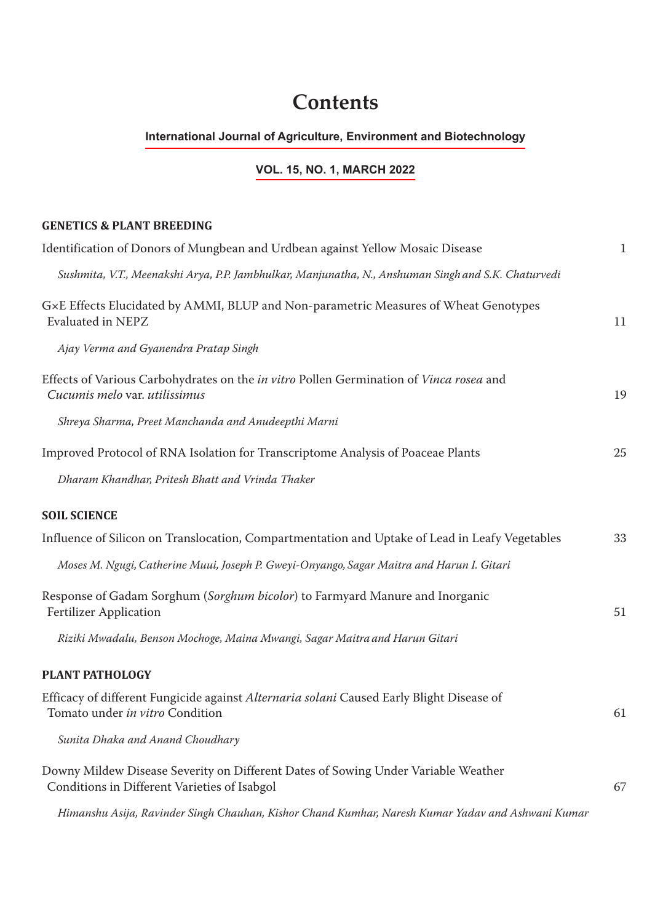## **Contents**

## **International Journal of Agriculture, Environment and Biotechnology**

## **VOL. 15, NO. 1, MARCH 2022**

**GENETICS & PLANT BREEDING**

## Identification of Donors of Mungbean and Urdbean against Yellow Mosaic Disease 1 *Sushmita, V.T., Meenakshi Arya, P.P. Jambhulkar, Manjunatha, N., Anshuman Singh and S.K. Chaturvedi* G×E Effects Elucidated by AMMI, BLUP and Non-parametric Measures of Wheat Genotypes Evaluated in NEPZ 11 *Ajay Verma and Gyanendra Pratap Singh* Effects of Various Carbohydrates on the *in vitro* Pollen Germination of *Vinca rosea* and *Cucumis melo* var. *utilissimus* 19 *Shreya Sharma, Preet Manchanda and Anudeepthi Marni* Improved Protocol of RNA Isolation for Transcriptome Analysis of Poaceae Plants 25 *Dharam Khandhar, Pritesh Bhatt and Vrinda Thaker* **SOIL SCIENCE** Influence of Silicon on Translocation, Compartmentation and Uptake of Lead in Leafy Vegetables 33 *Moses M. Ngugi,Catherine Muui, Joseph P. Gweyi-Onyango, Sagar Maitra and Harun I. Gitari* Response of Gadam Sorghum (*Sorghum bicolor*) to Farmyard Manure and Inorganic Fertilizer Application 51 *Riziki Mwadalu, Benson Mochoge, Maina Mwangi, Sagar Maitra and Harun Gitari* **PLANT PATHOLOGY** Efficacy of different Fungicide against *Alternaria solani* Caused Early Blight Disease of Tomato under *in vitro* Condition 61 *Sunita Dhaka and Anand Choudhary* Downy Mildew Disease Severity on Different Dates of Sowing Under Variable Weather Conditions in Different Varieties of Isabgol 67

*Himanshu Asija, Ravinder Singh Chauhan, Kishor Chand Kumhar, Naresh Kumar Yadav and Ashwani Kumar*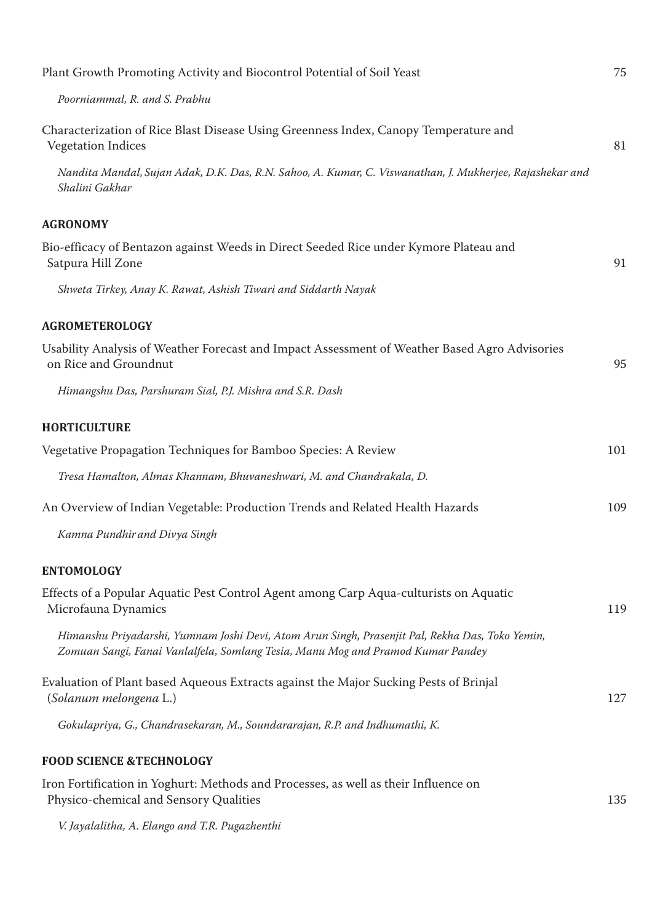| Plant Growth Promoting Activity and Biocontrol Potential of Soil Yeast                                                                                                             | 75  |
|------------------------------------------------------------------------------------------------------------------------------------------------------------------------------------|-----|
| Poorniammal, R. and S. Prabhu                                                                                                                                                      |     |
| Characterization of Rice Blast Disease Using Greenness Index, Canopy Temperature and<br><b>Vegetation Indices</b>                                                                  | 81  |
| Nandita Mandal, Sujan Adak, D.K. Das, R.N. Sahoo, A. Kumar, C. Viswanathan, J. Mukherjee, Rajashekar and<br>Shalini Gakhar                                                         |     |
| <b>AGRONOMY</b>                                                                                                                                                                    |     |
| Bio-efficacy of Bentazon against Weeds in Direct Seeded Rice under Kymore Plateau and<br>Satpura Hill Zone                                                                         | 91  |
| Shweta Tirkey, Anay K. Rawat, Ashish Tiwari and Siddarth Nayak                                                                                                                     |     |
| <b>AGROMETEROLOGY</b>                                                                                                                                                              |     |
| Usability Analysis of Weather Forecast and Impact Assessment of Weather Based Agro Advisories<br>on Rice and Groundnut                                                             | 95  |
| Himangshu Das, Parshuram Sial, P.J. Mishra and S.R. Dash                                                                                                                           |     |
| <b>HORTICULTURE</b>                                                                                                                                                                |     |
| Vegetative Propagation Techniques for Bamboo Species: A Review                                                                                                                     | 101 |
| Tresa Hamalton, Almas Khannam, Bhuvaneshwari, M. and Chandrakala, D.                                                                                                               |     |
| An Overview of Indian Vegetable: Production Trends and Related Health Hazards                                                                                                      | 109 |
| Kamna Pundhir and Divya Singh                                                                                                                                                      |     |
| <b>ENTOMOLOGY</b>                                                                                                                                                                  |     |
| Effects of a Popular Aquatic Pest Control Agent among Carp Aqua-culturists on Aquatic<br>Microfauna Dynamics                                                                       | 119 |
| Himanshu Priyadarshi, Yumnam Joshi Devi, Atom Arun Singh, Prasenjit Pal, Rekha Das, Toko Yemin,<br>Zomuan Sangi, Fanai Vanlalfela, Somlang Tesia, Manu Mog and Pramod Kumar Pandey |     |
| Evaluation of Plant based Aqueous Extracts against the Major Sucking Pests of Brinjal<br>(Solanum melongena L.)                                                                    | 127 |
| Gokulapriya, G., Chandrasekaran, M., Soundararajan, R.P. and Indhumathi, K.                                                                                                        |     |
| <b>FOOD SCIENCE &amp;TECHNOLOGY</b>                                                                                                                                                |     |
| Iron Fortification in Yoghurt: Methods and Processes, as well as their Influence on<br>Physico-chemical and Sensory Qualities                                                      | 135 |
| V. Jayalalitha, A. Elango and T.R. Pugazhenthi                                                                                                                                     |     |
|                                                                                                                                                                                    |     |